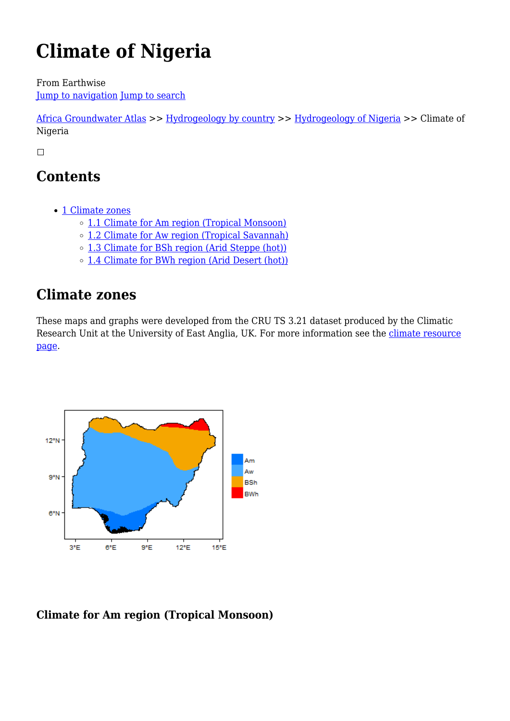# **Climate of Nigeria**

From Earthwise [Jump to navigation](#page--1-0) [Jump to search](#page--1-0)

[Africa Groundwater Atlas](http://earthwise.bgs.ac.uk/index.php/Africa_Groundwater_Atlas_Home) >> [Hydrogeology by country](http://earthwise.bgs.ac.uk/index.php/Hydrogeology_by_country) >> [Hydrogeology of Nigeria](http://earthwise.bgs.ac.uk/index.php/Hydrogeology_of_Nigeria) >> Climate of Nigeria

 $\Box$ 

## **Contents**

- [1](#page--1-0) [Climate zones](#page--1-0)
	- [1.1](#Climate_for_Am_region_.28Tropical_Monsoon.29) [Climate for Am region \(Tropical Monsoon\)](#Climate_for_Am_region_.28Tropical_Monsoon.29)
	- [1.2](#Climate_for_Aw_region_.28Tropical_Savannah.29) [Climate for Aw region \(Tropical Savannah\)](#Climate_for_Aw_region_.28Tropical_Savannah.29)
	- [1.3](#Climate_for_BSh_region_.28Arid_Steppe_.28hot.29.29) [Climate for BSh region \(Arid Steppe \(hot\)\)](#Climate_for_BSh_region_.28Arid_Steppe_.28hot.29.29)
	- [1.4](#Climate_for_BWh_region_.28Arid_Desert_.28hot.29.29) [Climate for BWh region \(Arid Desert \(hot\)\)](#Climate_for_BWh_region_.28Arid_Desert_.28hot.29.29)

### **Climate zones**

These maps and graphs were developed from the CRU TS 3.21 dataset produced by the Climatic Research Unit at the University of East Anglia, UK. For more information see the [climate resource](http://earthwise.bgs.ac.uk/index.php/Climate) [page.](http://earthwise.bgs.ac.uk/index.php/Climate)



#### **Climate for Am region (Tropical Monsoon)**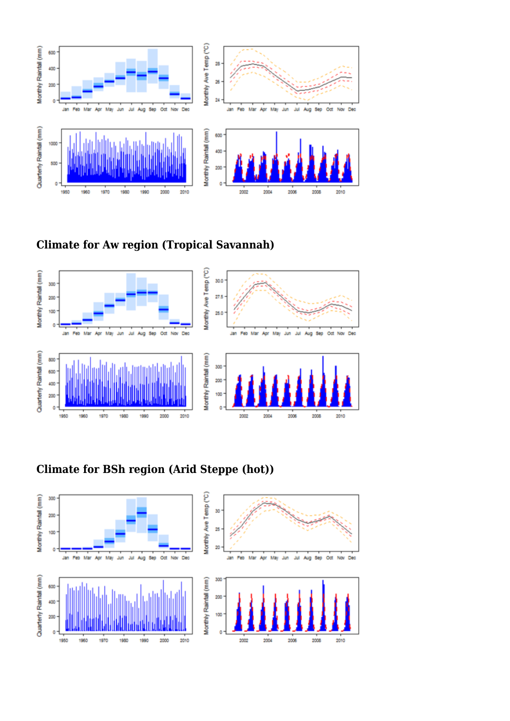





### **Climate for BSh region (Arid Steppe (hot))**

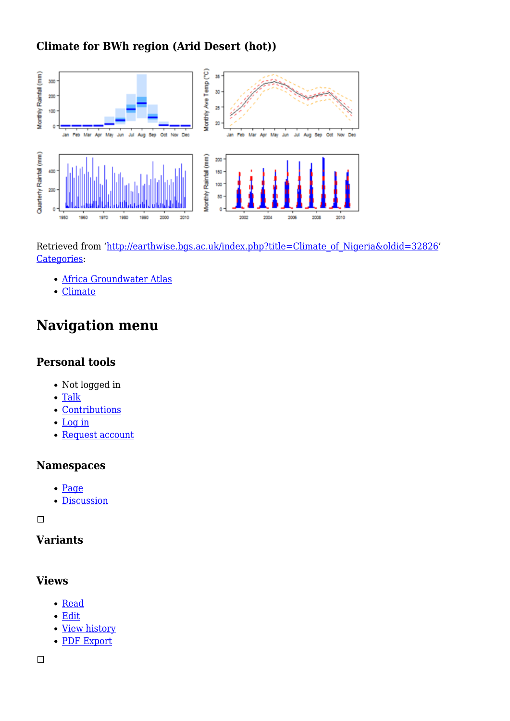#### **Climate for BWh region (Arid Desert (hot))**



Retrieved from ['http://earthwise.bgs.ac.uk/index.php?title=Climate\\_of\\_Nigeria&oldid=32826'](http://earthwise.bgs.ac.uk/index.php?title=Climate_of_Nigeria&oldid=32826) [Categories:](http://earthwise.bgs.ac.uk/index.php/Special:Categories)

- [Africa Groundwater Atlas](http://earthwise.bgs.ac.uk/index.php/Category:Africa_Groundwater_Atlas)
- [Climate](http://earthwise.bgs.ac.uk/index.php/Category:Climate)

### **Navigation menu**

#### **Personal tools**

- Not logged in
- [Talk](http://earthwise.bgs.ac.uk/index.php/Special:MyTalk)
- [Contributions](http://earthwise.bgs.ac.uk/index.php/Special:MyContributions)
- [Log in](http://earthwise.bgs.ac.uk/index.php?title=Special:UserLogin&returnto=Climate+of+Nigeria&returntoquery=action%3Dmpdf)
- [Request account](http://earthwise.bgs.ac.uk/index.php/Special:RequestAccount)

#### **Namespaces**

- [Page](http://earthwise.bgs.ac.uk/index.php/Climate_of_Nigeria)
- [Discussion](http://earthwise.bgs.ac.uk/index.php?title=Talk:Climate_of_Nigeria&action=edit&redlink=1)

 $\Box$ 

#### **Variants**

#### **Views**

- [Read](http://earthwise.bgs.ac.uk/index.php/Climate_of_Nigeria)
- [Edit](http://earthwise.bgs.ac.uk/index.php?title=Climate_of_Nigeria&action=edit)
- [View history](http://earthwise.bgs.ac.uk/index.php?title=Climate_of_Nigeria&action=history)
- [PDF Export](http://earthwise.bgs.ac.uk/index.php?title=Climate_of_Nigeria&action=mpdf)

 $\overline{\phantom{a}}$